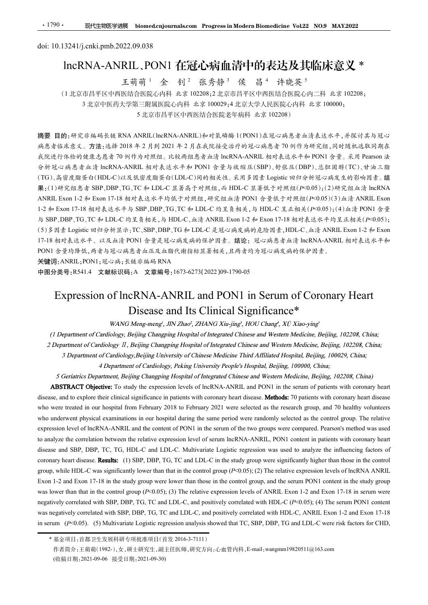# •1790• 现代生物医学进展 biomed.cnjournals.com Progress in Modern Biomedicin<br>doi: 10.13241/j.cnki.pmb.2022.09.038<br>IncRNA-ANRIL、PON1 在冠心病血清中的表达<br>王萌萌<sup>1</sup> 金 钊<sup>2</sup> 张秀静<sup>3</sup> 侯 昌<sup>4</sup> 许 lncRNA-ANRIL、PON1 在冠心病血清中的表达及其临床意义 \*<br>天萌萌1 金 钊<sup>2</sup> 张秀静<sup>3</sup> 侯 昌<sup>4</sup> 许晓英<sup>5</sup> RIL、PON1 在冠心病血清中的表达及其临床意义 \*<br><sup>王萌萌 1</sup> 金 [钊 <sup>2]</sup> 张秀静 3 侯 [昌 4] 许晓英 <sup>5</sup>

(1 北京市昌平区中西医结合医院心内科 北京 102208;2 北京市昌平区中西医结合医院心内二科 北京 102208; 3 北京中医药大学第三附属医院心内科 北京 100029;4 北京大学人民医院心内科 北京 100000; 5 北京市昌平区中西医结合医院老年病科 北京 102208)

• 1790 • **现代生物医学遗展 biomed.cnjournals.com Progress in Modern Biomedicine Vol22 NO.9 MAY.2022**<br>
doi: 10.13241/j.cnki.pmb.2022.09.038<br>
InCRNA-ANRIL, PON1 在冠心病血清中的表达及其临床室义 \*<br>
<br>
4 当前,<sup>4</sup>金 创<sup>2</sup>张秀静<sup>3</sup> 侯 昌<sup>4</sup> 许晚英<sup>5</sup><br>
(1北京市昌平区中西医 病患者临床意义。方法:选择 2018 年 2 月到 2021 年 2 月在我院接受治疗的冠心病患者 70 例作为研究组,同时随机选取同期在 我院进行体检的健康志愿者 70 例作为对照组。比较两组患者血清 lncRNA-ANRIL 相对表达水平和 PON1 含量。采用 Pearson 法 分析冠心病患者血清 lncRNA-ANRIL 相对表达水平和 PON1 含量与收缩压(SBP)、舒张压(DBP)、总胆固醇(TC)、甘油三脂 (TG)、高密度脂蛋白(HDL-C)以及低密度脂蛋白(LDL-C)间的相关性。采用多因素 Logistic 回归分析冠心病发生的影响因素。结 果:(1)研究组患者 SBP、DBP、TG、TC 和 LDL-C 显著高于对照组,而 HDL-C 显著低于对照组(P<0.05);(2)研究组血清 lncRNA  $\begin{array}{ll} \bullet\text{ 1790}\bullet\text{ 180\%} & \text{30\%} \end{array} \begin{minipage}[t]{0.90\textwidth} \begin{minipage}[t]{0.90\textwidth} \begin{minipage}[t]{0.90\textwidth} \begin{minipage}[t]{0.90\textwidth} \begin{minipage}[t]{0.90\textwidth} \begin{minipage}[t]{0.90\textwidth} \begin{minipage}[t]{0.90\textwidth} \begin{minipage}[t]{0.90\textwidth} \begin{minipage}[t]{0.90\textwidth} \begin{minipage}[t]{0.90\textwidth} \begin{minip$ 1790 - <br>
30: 10.13241/j.cnki.pmb.2022.09.038<br>
IncRNA-ANRIL ,PON1 在近七時間間間中同時には<br>
IncRNA-ANRIL ,PON1 中国大学、新聞工作中的を大きく、大事情報会、<br>
10: 10.13241/j.cnki.pmb.2022.09.038<br>
IncRNA-ANRIL ,PON1 作近代時期間間中的表达、及其临床度、第<br>
11.京市具平医時間間にの特には、第199 doi: 10.13241/j.cnki.pmb.2022.09.038<br>
IncRNA-ANRIL, PON1 在冠心解前 信中的表达及其临前 法、<br>
主动情報、生命前 - 金、剑 - 张秀静<sup>3</sup> - 侯 昌 - 洋院英、北海、<br>
(1.北向山西平区中国航海医的科 4.8京102208;2北前山平区中国航空医的4-17 北京102208;<br>
3.北京中国航空中国航海部内部公司公司公司公司公司公司公司公司公司公司公司公司公司公司公司<br> doi: 10.13241/j.enki.pmb.2022.09.038<br>
[InCRNA-ANRILL,PON1 在元山新聞前中的表达及其临床高度<br>
5. 前1 张 - 第102208;<br>
4. 前1 张 - 第102208;<br>
(1.比前用平区中网络结合图验心科释 先示 102208;1比前用平区中网络合图验心科平 先示 102208;<br>
3.北京中网络大学部。3.北京市区中国综合管理系社会国公司公共公共公共区网院分科系统(1000 17-18 相对表达水平、以及血清 PON1 含量是冠心病发病的保护因素。结论:冠心病患者血清 lncRNA-ANRIL 相对表达水平和 PON1 含量均降低,两者与冠心病患者血压及血脂代谢指标显著相关,且两者均为冠心病发病的保护因素。 Expression of lncRNA-ANRIL and PON1 in Serum of Coronary Heart A ANRIL (heRNA-ANRIL)和東義勝端(IPON1)在還心病患者血清表达水平,并採対其与現心<br>8年2月前 2021年2月在我院接受治疗的現心病患者の例件为研究组,同时随机造取同期在<br>1件方对照组。比较两组患者血清 heRNA-ANRIL 相对表达水平和 PON1 含量。采用 Pearson 法<br>1件为对照组。比较两组患者血清 heRNA-ANRIL 相对表达水平和 PON1 含量。采用 Pearson 法<br>NRIL 相对表达 To study the expression levels of lock Maxima To study of Christian Christian Christian LincRNA-ANRIL and PON1 in the expression level to the expression levels of lincRNA-ANRIL Expression level to the expression of the e

关键词:ANRIL;PON1;冠心病;长链非编码 RNA

中图分类号:R541.4 文献标识码:A 文章编号:1673-6273(2022)09-1790-05

disease, and the Clinical Significance \* WANG ANNEL and PONT in the secure their clinical significance in the significance in the significance in the significance in patients with coronary  $\frac{1}{2}$  and  $\frac{1}{2}$  and  $\frac$ **2021 Contained in the selected in our hospital from February 2018 to February 2018 to February 2021 were selected as the content of the research volume 2018 to February 2021 were selected as the content of Cardiology, B** (*15* Fa  $\approx$   $\mu$  2)  $\approx$   $\mu$  2)  $\approx$  4)  $\mu$  2)  $\approx$  4)  $\mu$  2)  $\sim$  4)  $\mu$  2)  $\sim$  4)  $\mu$  2)  $\sim$  4)  $\mu$  3)  $\mu$  3)  $\sim$  4)  $\mu$  3)  $\mu$  3)  $\sim$  4)  $\mu$  3)  $\sim$  4)  $\mu$  3)  $\sim$  4)  $\mu$  3)  $\sim$  4)  $\mu$  3)  $\sim$  4) From the state of cardiology. B, being the content of line was  $4 \times 4 \times 1$  and  $\pi$  and  $\pi$  and  $\pi$  and  $\pi$  and  $\pi$  and  $\pi$  and  $\pi$  and  $\pi$  and  $\pi$  and  $\pi$  and  $\pi$  and  $\pi$  and  $\pi$  and  $\pi$  and  $\pi$  and  $\pi$  a **EXPIRENT ONE IS and the correlation between the correlation between the correlation between the correlation between the relative expression level of serum of the relation between the relation between the relation betwee Expression of IncRNA-ANRIL and PON1 in Serum of Coronary Heart<br>
Expression of IncRNA-ANRIL and PON1 in Serum of Coronary Heart<br>
Disease and Its Clinical Significance\*<br>** *WANG-MRIL and PON1 in Serum of Coronary Heart***<br>** *WA* THEIT SEX CORRECT THE SECOND OF THE CORONATION CONTINUEST (EXPLORE THE SECOND THEORY CONTINUEST (FOR ANTIFICANCE CORONATION) (AND THE STELL THE STELL THE STELL THE STELL THE STELL THE STELL THE STELL THAN THE STELL THAN T Expression of IncRNA-ANRIL and PON1 in Serum of Coronary Heart<br>
WANG Mong-mong', JIN Zhao', ZHAMG Xu<sub>p</sub>ing, HOU Chang', XU Xua-ying'<br>
(*I Department of Cardiology, Beijing Changing Hospital of Integrated Chinese and Weste* EXPIPESSION OT INCRIVA-ANIXIL and PONT in Sertim of Coronary Heart<br>
VANO Missing and Its Clinical Significance \*\*<br>
WAN Missing and Its Clinical Significance a\*\*<br>
(1 Department of Cardiology, Heijing Changing Hospital of I **DISECASE and Its Clinical Significance**<sup>46</sup><br>
WANO Menguenge, JIN Zhuoi, ZHANO Xiu-jingi, JIOU Chang<sup>4</sup>, Xii Muovingi<br>
2 Department of Cardiology, Bigling Changing Hospital of Integrated Chinese and Western Medicine. Beij WANG Meng-mengi, JIN Zhari, 2HANG Xha-jingi, HOU Chang', XU Xha-yingi<br>
(1 Department of Coardiology, Beijing: Changping Hospital of Integrated Chinese and Western Medicine, Beijing, 102208, China;<br>
2 Department of Coardio (1) Department of Cardiology, Heijing: Changing Hospital of Integrated Chinese and Western Medicine, Beijing, 102208, China;<br>
2) Department of Cardiology, Heijing: Changing Hospital of Integrated Chinese and Western Medic 2 Department of Cardiology 11, Heiling Changining Hospital of Integrated Chinese and Western Medicine, Heiling, 102208, China:<br>
3 Department of Cardiology, Deijing University of Chinese Medicine Third Affiliated Hospital,

作者简介:王萌萌(1982-),女,硕士研究生,副主任医师,研究方向:心血管内科,E-mail:wangmm19820511@163.com (收稿日期:2021-09-06 接受日期:2021-09-30)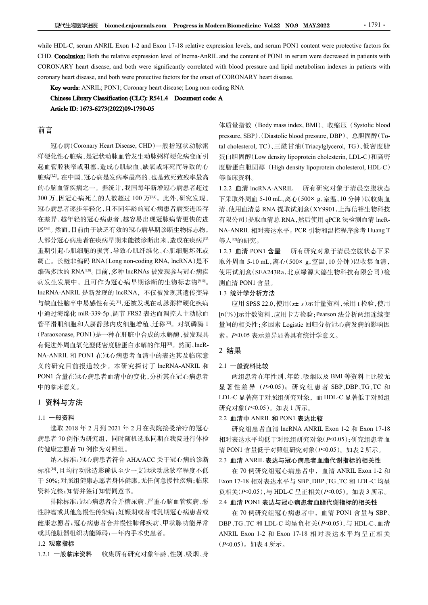R代生物医学进展 biomed.cnjournals.com Progress in Modern Biomedicine Vol.22 NO.9 MAY.2022 · 1791 · 1791 · 1<br>while HDL-C, serum ANRIL Exon 1-2 and Exon 17-18 relative expression levels, and serum PON1 content were protective fact FRICHT TO MATHL EXON THE RELATIVE EXAMORE THE RELATIVE THE RELATIVE THE RELATIVE THE RELATIVE EXPIRENTIAL EXON<br>
THILE FORE RELATIVE EXON 1-2 and EXON 17-18 relative expression levels, and serum PON1 content were protectiv <del>现代生物医学进展</del> biomed.cnjournals.com Progress in Modern Biomedicine Vol.22 NO.9 MAY.2022 1791 ·<br>
While HDL-C, serum ANRIL Exon 1-2 and Exon 17-18 relative expression levels, and serum PON1 content were protective factors for<br> **Example 1999** We the one of CORONARY heart disease, and both were protective factors for CORONARY heart disease, and both were protective factors for CORONARY heart disease, and both were protective factors for CORONARY **学进展** biomed.cnjournals.com Progress in Modern Biomedicine Vol.22 NO.9 MAY.2022 1791 ·<br>
Tum ANRIL Exon 1-2 and Exon 17-18 relative expression levels, and serum PON1 content were protective factors for<br>
are the sease, and <del>现代生物医学趙展 biomed.cnjournals.com Progress in Modern Biomedicine Vol.22 NO.9 MAY.2022 ····<br>
HDL-C, serum ANRIL Exon 1-2 and Exon 17-18 relative expression levels, and serum PON1 content were protective fact.<br>
Conclusion: B</del>

# 前言

样硬化性心脏病,是冠状动脉血管发生动脉粥样硬化病变而引 蛋白胆固醇(Low density lipoprotein cholesterin, LDL-C)和高密 起血管腔狭窄或阻塞,造成心肌缺血、缺氧或坏死而导致的心。 度脂蛋白胆固醇 (High density lipoprotein cholesterol, HDL-C) 脏病[1,2]。在中国,冠心病是发病率最高的、也是致死致残率最高 的心脑血管疾病之一。据统计,我国每年新增冠心病患者超过 300 万,因冠心病死亡的人数超过100 万[34]。此外,研究发现, 下采取外周血 5-10 mL,离心(500×g,室温,10 分钟)以收集血 冠心病患者逐步年轻化,且不同年龄的冠心病患者病变进展存 在差异,越年轻的冠心病患者,越容易出现冠脉病情更快的进 展<sup>[56]</sup>。然而,目前由于缺乏有效的冠心病早期诊断生物标志物, NA-ANRIL 相对表达水平。PCR 引物和温控程序参考 Huang T 大部分冠心病患者在疾病早期未能被诊断出来,造成在疾病严 重期引起心肌细胞的损害,导致心肌纤维化、心肌细胞坏死或 1.2.3 血清 PON1 含量 coronary beart disease, and hot were protective factors for the onset of CORONARY beart disease.<br> **Kgy words ANR1: PON1C Coronary beart dissection**<br> **Chinese Library Classification (CLC): R541A Decembent code: A<br>
Article** 编码多肽的 RNA<sup>[7,8]</sup>。目前,多种 lncRNAs 被发现参与冠心病疾 病发生发展中,且可作为冠心病早期诊断的生物标志物[9,10]。 lncRNA-ANRIL 是新发现的 lncRNA,不仅被发现其遗传变异 与缺血性脑卒中易感性有关[11],还被发现在动脉粥样硬化疾病 中通过海绵化 miR-339-5p、调节 FRS2 表达而调控人主动脉血 管平滑肌细胞和人脐静脉内皮细胞增殖、迁移[12]。对氧磷酶 1 (Paraoxonase, PON1)是一种在肝脏中合成的水解酶,被发现具 有促进外周血氧化型低密度脂蛋白水解的作用[13]。然而,lncR-NA-ANRIL 和 PON1在冠心病患者血清中的表达其及临床意 义的研究目前报道较少。本研究探讨了 lncRNA-ANRIL 和 PON1 含量在冠心病患者血清中的变化,分析其在冠心病患者 中的临床意义。

### 1 资料与方法

### 1.1 一般资料

病患者 70 例作为研究组,同时随机选取同期在我院进行体检 的健康志愿者 70 例作为对照组。

纳入标准:冠心病患者符合 AHA/ACC 关于冠心病的诊断 标准[14],且均行动脉造影确认至少一支冠状动脉狭窄程度不低 在 70 例研究组冠心病患者中, 血清 ANRIL Exon 1-2 和 于 50%;对照组健康志愿者身体健康,无任何急慢性疾病;临床 资料完整;知情并签订知情同意书。

排除标准:冠心病患者合并糖尿病、严重心脑血管疾病、恶 性肿瘤或其他急慢性传染病;妊娠期或者哺乳期冠心病患者或 健康志愿者;冠心病患者合并慢性肺部疾病、甲状腺功能异常 或其他脏器组织功能障碍;一年内手术史患者。

### 1.2 观察指标

1.2.1 一般临床资料 收集所有研究对象年龄、性别、吸烟、身

**Example in Somedicine Vol.22 NO.9 MAY.2022**<br> **Example 1991 - Some Some System PON1** content were protective factors for<br>
and the content of PON1 in serum were decreased in patients with<br>
ith blood pressure and lipid meta **Example Solution Solution**<br>
session levels, and serum PON1 content were protective factors for<br>
and the content of PON1 in serum were decreased in patients with<br>
ith blood pressure and lipid metabolism indexes in patient **Exam Biomedicine Vol.22 NO.9 MAY.2022 10.1791.**<br>
<br>
ession levels, and serum PON1 content were protective factors for<br>
and the content of PON1 in serum were decreased in patients with<br>
the blood pressure and lipid metab **Exam Biomedicine Vol.22 NO.9 MAY.2022** 1791<br>
cssion levels, and serum PON1 content were protective factors for<br>
and the content of PON1 in serum were decreased in patients with<br>
rith blood pressure and lipid metabolism **Example Solution Web Max 2022**<br>
Session levels, and serum PON1 content were protective factors for<br>
and the content of PON1 in serum were decreased in patients with<br>
ith blood pressure and lipid metabolism indexes in pa 等临床资料。

1.2.2 血清 lncRNA-ANRIL 所有研究对象于清晨空腹状态 rm Biomedicine Vol.22 NO.9 MAY.2022 · 1791 · 1791 · 1791 · 1791 · 1791 · 1791 · 1791 · 1791 · 1791 · 1791 · 1791 · 1791 · 1791 · 1791 · 1791 · 1791 · 1791 · 1791 · 1791 · 1791 · 1791 · 1791 · 1791 · 1791 · 1791 · 1791 · 1 清,使用血清总 RNA 提取试剂盒(XY9901,上海信裕生物科技 有限公司)提取血清总 RNA,然后使用 qPCR 法检测血清 lncRssion levels, and serum PON1 content were protective factors for<br>and the content of PON1 in serum were decreased in patients with<br>the blood pressure and lipid metabolism indexes in patients with<br>fCORONARY heart disease.<br> 等人[12]的研究。 f CORONARY heart disease.<br>
A<br>
A<br>
<br>
A<br>
<br>
A<br>
M<br>
M<br>
M<br>
M<br>
M<br>
M<br>
M<br>
M<br>
S<br>
S<br>
S<br>
S<br>
S<br>
S<br>
S<br>
S<br>
E<br>
M<br>
E<br>
M<br>
E<br>
M<br>
E<br>
M<br>
E<br>
M<br>
E<br>
II M<br>
E<br>
II M<br>
II M<br>
II M<br>
II M<br>
S<br>
II M<br>
D<br>
M<br>
S<br>
F<br>
W<br>
F<br>
W<br>
S<br>
T<br>
T<br>
T<br>
T<br>
T<br>
T<br>
T<br>
T<br>
T<br>
T<br>
T 量指数 (Body mass index, BMI)、收缩压 (Systolic blood<br>ure, SBP)、(Diastolic blood pressure, DBP)、总胆固醇 (To-<br>nolesterol, TC)、三酰甘油 (Triacylglycerol, TG)、低密度脂<br>胆固醇 (Low density lipoprotein cholesterin, LDL-C)和高密<br>胆固醇 (High density lipo

。 测血清 PON1 含量。 所有研究对象于清晨空腹状态下采 使用试剂盒(SEA243Ra,北京绿源大德生物科技有限公司)检 研究组患者血清 lncRNA ANRIL Exon 1-2 <sup>和</sup> Exon 17-18

### 1.3 统计学分析方法

[n(%)]示计数资料,应用卡方检验;Pearson 法分析两组连续变 量间的相关性;多因素 Logistic 回归分析冠心病发病的影响因 素。P<0.05 表示差异显著具有统计学意义。 有10.1 日量:<br>在 70 日 - 国立、使用(元:5元计量资料,采用 t 检验,使用<br>(症用 SPSS 22.0,使用(元:5元计量资料,采用 t 检验,使用<br>)为计数资料,应用卡方检验;Pearson 法分析两组连续变<br>的相关性;多因素 Logistic 回归分析冠心病发病的影响因<br>P<0.05 表示差异显著具有统计学意义。<br>F<br>- 最资料比较<br>- 重要 化车化到、年龄、吸烟以及 BMI 等资料上比较无<br>- 国家基本年生别、年龄、 Exon 17-18 相对表达水平与 SBP、DBP、TG、TC <sup>和</sup> LDL-C 均呈

### 2 结果

### 2.1 一般资料比较

两组患者在年性别、年龄、吸烟以及 BMI 等资料上比较无 显著性差异 ( $P$ >0.05); 研究组患者 SBP、DBP、TG、TC 和 LDL-C 显著高于对照组研究对象,而 HDL-C 显著低于对照组 研究对象(P<0.05)。如表 1 所示。

### 2.2 血清中 ANRIL 和 PON1表达比较

选取 2018 年 2 月到 2021 年 2 月在我院接受治疗的冠心 相对表达水平均低于对照组研究对象(P<0.05);研究组患者血 清 PON1 含量低于对照组研究对象(P<0.05)。如表 2 所示。

### 2.3 血清 ANRIL 表达与冠心病患者血脂代谢指标的相关性

负相关(P<0.05),与 HDL-C 呈正相关(P<0.05)。如表 3 所示。 2.4 血清 PON1 表达与冠心病患者血脂代谢指标的相关性

在 70 例研究组冠心病患者中,血清 PON1 含量与 SBP、 DBP、TG、TC 和 LDL-C 均呈负相关(P<0.05),与 HDL-C、血清 2 结果<br>
2.1 一般资料比较<br>
两组患者在年性别、年龄、吸烟以及 BMI 等资料上比较无<br>
5 再生差异 (P>0.05), 研究组患者 SBP,DBP,TG,TC 和<br>
LDL-C 显著高于对照组研究对象, 而 HDL-C 显著低于对照组<br>
研究对象(P<0.05)。如表1 所示。<br>
2.2 血清中 ANRIL 和 PON1 表达比较<br>
2.2 血清中 ANRIL和 PON1 表达比较<br>
2.2 血清中 ANRIL和 PON1 表 (P<0.05)。如表 4 所示。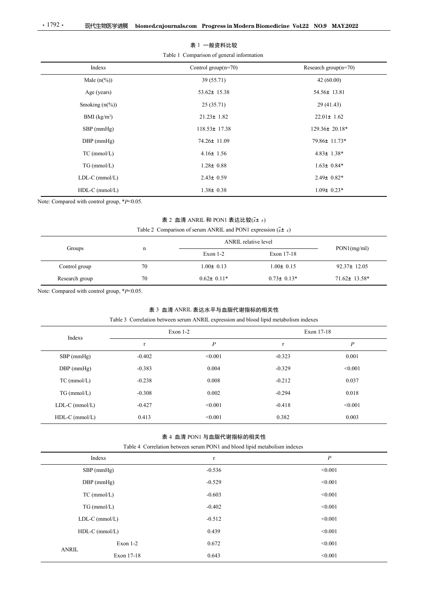| $\cdot$ 1792 $\cdot$                        | 现代生物医学进展       | biomed.cnjournals.com Progress in Modern Biomedicine Vol.22 NO.9 MAY.2022                                             |                  |                         |  |
|---------------------------------------------|----------------|-----------------------------------------------------------------------------------------------------------------------|------------------|-------------------------|--|
|                                             |                |                                                                                                                       |                  |                         |  |
|                                             |                | 表 1 一般资料比较                                                                                                            |                  |                         |  |
|                                             |                | Table 1 Comparison of general information                                                                             |                  |                         |  |
|                                             | Indexs         | Control group $(n=70)$                                                                                                |                  | Research group $(n=70)$ |  |
|                                             | Male $(n(\%))$ | 39 (55.71)                                                                                                            |                  | 42 (60.00)              |  |
|                                             | Age (years)    | 53.62± 15.38                                                                                                          |                  | 54.56± 13.81            |  |
| Smoking (n(%))<br>$\rm BMI$ $\rm (kg/m^2)$  |                | 25(35.71)                                                                                                             |                  | 29 (41.43)              |  |
|                                             |                | $21.23 \pm 1.82$                                                                                                      |                  | $22.01 \pm 1.62$        |  |
| SBP (mmHg)<br>DBP (mmHg)                    |                | $118.53 \pm 17.38$                                                                                                    |                  | 129.36± 20.18*          |  |
|                                             |                | 74.26± 11.09                                                                                                          |                  | 79.86± 11.73*           |  |
| TC (mmol/L)                                 |                | $4.16 \pm 1.56$                                                                                                       |                  | $4.83 \pm 1.38*$        |  |
| TG (mmol/L)                                 |                | $1.28 \pm 0.88$                                                                                                       |                  | $1.63 \pm 0.84*$        |  |
| LDL-C (mmol/L)                              |                | $2.43 \pm 0.59$                                                                                                       |                  | $2.49 \pm 0.82*$        |  |
| HDL-C (mmol/L)                              |                | $1.38 \pm 0.38$                                                                                                       |                  | $1.09 \pm 0.23*$        |  |
| Note: Compared with control group, *P<0.05. |                |                                                                                                                       |                  |                         |  |
|                                             |                | 表 2 血清 ANRIL 和 PON1 表达比较 $(\bar{x}$ ± s)                                                                              |                  |                         |  |
|                                             |                | Table 2 Comparison of serum ANRIL and PON1 expression $(\bar{x} \pm s)$                                               |                  |                         |  |
|                                             |                | ANRIL relative level                                                                                                  |                  | PON1(mg/ml)             |  |
| Groups                                      | $\mathbf n$    | Exon 1-2                                                                                                              | Exon 17-18       |                         |  |
| Control group                               | 70             | $1.00 \pm 0.13$                                                                                                       | $1.00 \pm 0.15$  | 92.37± 12.05            |  |
| Research group                              | 70             | $0.62 \pm 0.11*$                                                                                                      | $0.73 \pm 0.13*$ | $71.62 \pm 13.58^*$     |  |
| Note: Compared with control group, *P<0.05. |                |                                                                                                                       |                  |                         |  |
|                                             |                |                                                                                                                       |                  |                         |  |
|                                             |                | 表 3 血清 ANRIL 表达水平与血脂代谢指标的相关性<br>Table 3 Correlation between serum ANRIL expression and blood lipid metabolism indexes |                  |                         |  |
|                                             |                | Exon 1-2                                                                                                              |                  | Exon 17-18              |  |
| Indexs                                      | $\mathbf r$    | $\boldsymbol{P}$                                                                                                      | $\mathbf r$      | $\boldsymbol{P}$        |  |
| SBP (mmHg)                                  | $-0.402$       | < 0.001                                                                                                               | $-0.323$         | 0.001                   |  |
|                                             |                |                                                                                                                       |                  |                         |  |

# 表 2 血清 ANRIL 和 PON1 表达比较 $(\bar{x}$ ± s)

|                |    | ANRIL relative level |                  |                     |
|----------------|----|----------------------|------------------|---------------------|
| Groups         | n  | Exon $1-2$           | Exon 17-18       | PON1(mg/ml)         |
| Control group  | 70 | $1.00 \pm 0.13$      | $1.00 \pm 0.15$  | $92.37 \pm 12.05$   |
| Research group | 70 | $0.62 \pm 0.11*$     | $0.73 \pm 0.13*$ | $71.62 \pm 13.58^*$ |

## 表 3 血清 ANRIL 表达水平与血脂代谢指标的相关性

| TC (mmol/L)                                 |             | $4.16 \pm 1.56$                                                                                                       |                      | $4.83 \pm 1.38*$ |  |
|---------------------------------------------|-------------|-----------------------------------------------------------------------------------------------------------------------|----------------------|------------------|--|
| TG (mmol/L)                                 |             | $1.28 \pm 0.88$                                                                                                       |                      | $1.63 \pm 0.84*$ |  |
| LDL-C (mmol/L)                              |             | $2.43 \pm 0.59$                                                                                                       |                      | $2.49 \pm 0.82*$ |  |
| HDL-C (mmol/L)                              |             | $1.38 \pm 0.38$                                                                                                       |                      | $1.09 \pm 0.23*$ |  |
| Note: Compared with control group, *P<0.05. |             |                                                                                                                       |                      |                  |  |
|                                             |             | 表 2 血清 ANRIL 和 PON1 表达比较(x+ s)                                                                                        |                      |                  |  |
|                                             |             | Table 2 Comparison of serum ANRIL and PON1 expression $(\bar{x} \pm s)$                                               |                      |                  |  |
|                                             |             |                                                                                                                       | ANRIL relative level |                  |  |
| Groups                                      | $\mathbf n$ | Exon 1-2                                                                                                              | Exon 17-18           | PON1(mg/ml)      |  |
| Control group                               | 70          | $1.00 \pm 0.13$                                                                                                       | $1.00 \pm 0.15$      | 92.37± 12.05     |  |
| Research group                              | 70          | $0.62 \pm 0.11*$                                                                                                      | $0.73 \pm 0.13*$     | 71.62± 13.58*    |  |
| Note: Compared with control group, *P<0.05. |             |                                                                                                                       |                      |                  |  |
|                                             |             |                                                                                                                       |                      |                  |  |
|                                             |             | 表 3 血清 ANRIL 表达水平与血脂代谢指标的相关性<br>Table 3 Correlation between serum ANRIL expression and blood lipid metabolism indexes |                      |                  |  |
|                                             | Exon 1-2    |                                                                                                                       | Exon 17-18           |                  |  |
| Indexs                                      | $\mathbf r$ | $\boldsymbol{P}$                                                                                                      | $\mathbf r$          | $\boldsymbol{P}$ |  |
| SBP (mmHg)                                  | $-0.402$    | < 0.001                                                                                                               | $-0.323$             | 0.001            |  |
| DBP (mmHg)                                  | $-0.383$    | 0.004                                                                                                                 | $-0.329$             | < 0.001          |  |
| TC (mmol/L)                                 | $-0.238$    | 0.008                                                                                                                 | $-0.212$             | 0.037            |  |
| TG (mmol/L)                                 | $-0.308$    | 0.002                                                                                                                 | $-0.294$             | 0.018            |  |
| LDL-C (mmol/L)                              | $-0.427$    | < 0.001                                                                                                               | $-0.418$             | < 0.001          |  |
| HDL-C (mmol/L)                              | 0.413       | < 0.001                                                                                                               | 0.382                | 0.003            |  |
|                                             |             |                                                                                                                       |                      |                  |  |
|                                             |             | 表 4 血清 PON1 与血脂代谢指标的相关性<br>Table 4 Correlation between serum PON1 and blood lipid metabolism indexes                  |                      |                  |  |
| Indexs                                      |             | $\mathbf r$                                                                                                           |                      | $\boldsymbol{P}$ |  |
| SBP (mmHg)                                  |             | $-0.536$                                                                                                              |                      | < 0.001          |  |
| DBP (mmHg)                                  |             | $-0.529$                                                                                                              |                      | < 0.001          |  |
| TC (mmol/L)                                 |             | $-0.603$                                                                                                              |                      | < 0.001          |  |
| TG (mmol/L)                                 |             | $-0.402$                                                                                                              |                      | < 0.001          |  |
| LDL-C (mmol/L)                              |             | $-0.512$                                                                                                              |                      | < 0.001          |  |
| HDL-C (mmol/L)                              |             | 0.439                                                                                                                 |                      | < 0.001          |  |
|                                             |             |                                                                                                                       |                      |                  |  |

### 表 4 血清 PON1 与血脂代谢指标的相关性

|                        |                | Table 5 Correlation between serum AINRIL expression and blood lipid metabolism indexes               |             |                  |
|------------------------|----------------|------------------------------------------------------------------------------------------------------|-------------|------------------|
| Indexs                 |                | Exon $1-2$                                                                                           |             | Exon 17-18       |
|                        | $\mathbf r$    | $\boldsymbol{P}$                                                                                     | $\mathbf r$ | $\boldsymbol{P}$ |
| SBP (mmHg)             | $-0.402$       | < 0.001                                                                                              | $-0.323$    | 0.001            |
| DBP (mmHg)             | $-0.383$       | 0.004                                                                                                | $-0.329$    | < 0.001          |
| TC (mmol/L)            | $-0.238$       | $\,0.008\,$                                                                                          | $-0.212$    | 0.037            |
| TG (mmol/L)            | $-0.308$       | 0.002                                                                                                | $-0.294$    | 0.018            |
| LDL-C (mmol/L)         | $-0.427$       | $<\!\!0.001$                                                                                         | $-0.418$    | $<\!\!0.001$     |
| HDL-C (mmol/L)         | 0.413          | < 0.001                                                                                              | 0.382       | 0.003            |
|                        | Indexs         | 表 4 血清 PON1 与血脂代谢指标的相关性<br>Table 4 Correlation between serum PON1 and blood lipid metabolism indexes |             | $\boldsymbol{P}$ |
|                        |                | $\mathbf r$                                                                                          |             |                  |
|                        | SBP (mmHg)     | $-0.536$                                                                                             |             | < 0.001          |
|                        | DBP (mmHg)     | $-0.529$                                                                                             |             | < 0.001          |
|                        | TC (mmol/L)    | $-0.603$                                                                                             |             | < 0.001          |
|                        | TG (mmol/L)    | $-0.402$                                                                                             |             | < 0.001          |
|                        |                |                                                                                                      |             |                  |
|                        | LDL-C (mmol/L) | $-0.512$                                                                                             |             | < 0.001          |
|                        | HDL-C (mmol/L) | 0.439                                                                                                |             | < 0.001          |
| $\operatorname{ANRIL}$ | Exon 1-2       | 0.672                                                                                                |             | < 0.001          |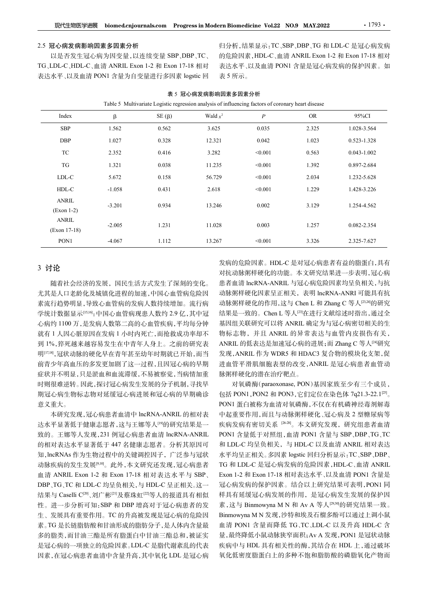### 2.5 冠心病发病影响因素多因素分析

以是否发生冠心病为因变量,以连续变量 SBP、DBP、TC、 的危险因素, HDL-C、血清 ANRIL Exon 1-2 和 Exon 17-18 相对 TG、LDL-C、HDL-C、血清 ANRIL Exon 1-2 <sup>和</sup> Exon 17-18 相对 归分析,结果显示:TC、SBP、DBP、TG 和 LDL-C 是冠心病发病 ern Biomedicine Vol.22 NO.9 MAY.2022 1793 ·<br>归分析,结果显示:TC、SBP、DBP、TG 和 LDL-C 是冠心病发病<br>的危险因素,HDL-C、血清 ANRIL Exon 1-2 和 Exon 17-18 相对<br>表达水平、以及血清 PON1 含量是冠心病发病的保护因素。如<br>8.5 所示。<br>I因素多因素分析 表达水平、以及血清 PON1 含量是冠心病发病的保护因素。如 表 5 所示。

| 2.5 冠心病发病影响因素多因素分析<br>『G、LDL-C、HDL-C、血清 ANRIL Exon 1-2 和 Exon 17-18 相对<br>表达水平、以及血清 PON1 含量为自变量进行多因素 logstic 回 |          | 以是否发生冠心病为因变量,以连续变量 SBP、DBP、TC、 | 表 5 所示。                                                                                                                  |                  |       | 归分析,结果显示: TC、SBP、DBP、TG 和 LDL-C 是冠心病发病<br>的危险因素, HDL-C、血清 ANRIL Exon 1-2 和 Exon 17-18 相对<br>表达水平、以及血清 PON1 含量是冠心病发病的保护因素。如 |
|----------------------------------------------------------------------------------------------------------------|----------|--------------------------------|--------------------------------------------------------------------------------------------------------------------------|------------------|-------|----------------------------------------------------------------------------------------------------------------------------|
|                                                                                                                |          |                                | 表 5 冠心病发病影响因素多因素分析<br>Table 5 Multivariate Logistic regression analysis of influencing factors of coronary heart disease |                  |       |                                                                                                                            |
| Index                                                                                                          | β        | $SE(\beta)$                    | Wald $x^2$                                                                                                               | $\boldsymbol{P}$ | OR    | 95%CI                                                                                                                      |
| <b>SBP</b>                                                                                                     | 1.562    | 0.562                          | 3.625                                                                                                                    | 0.035            | 2.325 | 1.028-3.564                                                                                                                |
| <b>DBP</b>                                                                                                     | 1.027    | 0.328                          | 12.321                                                                                                                   | 0.042            | 1.023 | 0.523-1.328                                                                                                                |
| TC                                                                                                             | 2.352    | 0.416                          | 3.282                                                                                                                    | < 0.001          | 0.563 | $0.043 - 1.002$                                                                                                            |
| TG                                                                                                             | 1.321    | 0.038                          | 11.235                                                                                                                   | < 0.001          | 1.392 | 0.897-2.684                                                                                                                |
| LDL-C                                                                                                          | 5.672    | 0.158                          | 56.729                                                                                                                   | < 0.001          | 2.034 | 1.232-5.628                                                                                                                |
| HDL-C                                                                                                          | $-1.058$ | 0.431                          | 2.618                                                                                                                    | < 0.001          | 1.229 | 1.428-3.226                                                                                                                |
| ANRIL<br>$(Exon 1-2)$                                                                                          | $-3.201$ | 0.934                          | 13.246                                                                                                                   | 0.002            | 3.129 | 1.254-4.562                                                                                                                |
| ANRIL<br>$(Exon 17-18)$                                                                                        | $-2.005$ | 1.231                          | 11.028                                                                                                                   | 0.003            | 1.257 | 0.082-2.354                                                                                                                |
| PON <sub>1</sub>                                                                                               | $-4.067$ | 1.112                          | 13.267                                                                                                                   | < 0.001          | 3.326 | 2.325-7.627                                                                                                                |

### 表 5 冠心病发病影响因素多因素分析

3 讨论

随着社会经济的发展,国民生活方式发生了深刻的变化。 尤其是人口老龄化及城镇化进程的加速,中国心血管病危险因 素流行趋势明显,导致心血管病的发病人数持续增加。流行病 动脉粥样硬化的作用,这与 Chen L 和 Zhang C 等人<sup>[234]</sup>的研究 学统计数据显示[15,16]:中国心血管病现患人数约 2.9 亿,其中冠 心病约 1100 万,是发病人数第二高的心血管疾病,平均每分钟 就有 1 人因心脏原因在发病 1 小时内死亡,而抢救成功率却不 到 1%,猝死越来越容易发生在中青年人身上。之前的研究表 ANRIL 的低表达是加速冠心病的进展;而 Zhang C 等人<sup>[2]</sup>研究 明[17,18],冠状动脉的硬化早在青年甚至幼年时期就已开始,而当 前青少年高血压的多发更加剧了这一过程,且因冠心病的早期 症状并不明显,只是淤血和血流滞缓,不易被察觉,当病情加重 时则很难逆转。因此,探讨冠心病发生发展的分子机制,寻找早 对氧磷酶(paraoxonase, PON)基因家族至少有三个成员, 期冠心病生物标志物对延缓冠心病进展和冠心病的早期确诊 意义重大。 尤其是人工老龄化及城镇化进程的加速,中国心血管病危险因 动脉粥样硬化因素呈正相关,表明,最后不同。<br>式声量,特别是,导致心电管病的发射持续增加。流行病 动脉粥样硬化的作用,这与 Clon 1-2 和 Exang C 等人,<br>学效计数据显示。中国企血管病现患人数分2.9 化,其行增 结果是一致的。Clen 1-2 人口on 1-2 A Exang C 等人。<br>心脏的则是,导致心电管病的变新人数为。2.化,其行为分钟、基因组关联研究可

本研究发现,冠心病患者血清中 lncRNA-ANRIL 的相对表 达水平显著低于健康志愿者,这与王娜等人<sup>[9]</sup>的研究结果是一 致的。王娜等人发现,231 例冠心病患者血清 lncRNA-ANRIL 的相对表达水平显著低于 447 名健康志愿者。分析其原因可 知,lncRNAs 作为生物过程中的关键调控因子,广泛参与冠状 动脉疾病的发生发展[9,10]。此外,本文研究还发现,冠心病患者 结果与 Caselli C[20]、刘广彬[21]及蔡珠虹[22]等人的报道具有相似 素。TG 是长链脂肪酸和甘油形成的脂肪分子,是人体内含量最 是冠心病的一项独立的危险因素。LDL-C 是脂代谢紊乱的代表 因素,在冠心病患者血清中含量升高,其中氧化 LDL 是冠心病

发病的危险因素。HDL-C 是对冠心病患者有益的脂蛋白,具有 对抗动脉粥样硬化的功能。本文研究结果进一步表明,冠心病 患者血清 lncRNA-ANRIL 与冠心病危险因素均呈负相关,与抗 动脉粥样硬化因素呈正相关,表明 lncRNA-ANRI 可能具有抗 基因组关联研究可以将 ANRIL 确定为与冠心病密切相关的生 物标志物,并且 ANRIL 的异常表达与血管内皮损伤有关, ANRIL 的低表达是加速冠心病的进展;而 Zhang C 等人[24]研究 发现,ANRIL 作为 WDR5 和 HDAC3 复合物的模块化支架,促 进血管平滑肌细胞表型的改变,ANRIL 是冠心病患者血管动 脉粥样硬化的潜在治疗靶点。 0.002 3.129 1.2544.562<br>
0.003 1.257 0.082-2.354<br>
<0.001 3.326 2.325-7.627<br>
<br>
10.001 3.326 2.325-7.627<br>
<br>
10.001 3.326 2.325-7.627<br>
<br>
前后隐因素。HDL-C 是对冠心病患者有益的脂蛋白,具有<br>
精神硬化的功能。本文研究结果进一步表明,冠心病<br>
<br>
病情 heRNA-ANRL 与冠心病危险因素均呈负相关,与抗

性。进一步分析可知:SBP 和 DBP 增高对于冠心病患者的发 赛,这与 Binmowyna M N 和 Av A 等人<sup>[29,30</sup>的研究结果一致。 生、发展具有重要作用。TC 的升高被发现是冠心病的危险因 Binmowyna M N 发现, 沙特和埃及石榴多酚可以通过上调小鼠 多的脂类,而甘油三酯是所有脂蛋白中甘油三酯总和,被证实 量,最终降低小鼠动脉狭窄面积;AvA发现,PON1是冠状动脉 包括 PON1,PON2 和 PON3,它们定位在染色体 7q21.3-22.1[25] 。 PON1 蛋白被称为血清对氧磷酶,不仅在有机磷神经毒剂解毒 中起重要作用,而且与动脉粥样硬化、冠心病及 2 型糖尿病等 疾病发病有密切关系 [26-28]。本文研究发现,研究组患者血清 PON1 含量低于对照组,血清 PON1 含量与 SBP、DBP、TG、TC 和 LDL-C 均呈负相关,与 HDL-C 以及血清 ANRIL 相对表达 水平均呈正相关。多因素 logstic 回归分析显示:TC、SBP、DBP、 TG 和 LDL-C 是冠心病发病的危险因素,HDL-C、血清 ANRIL 动脉粥样硬化的作用,这与工作用、是近心病发展的作用,是有过程和的工作,这里是经济的保护因果有关系过程和管理是一致的。 Chen L等人吗在进行文献综建时指出,通过全球研究可以将 ANRIL 确定为与冠心病密切相关的人<br>KBL 的供表达是加速范小提供,而且 20 等人的模式,但也可以使用的人来的。<br>KBL 的供表达是加速范小时间段,可以使用的使用的时间,<br>ANRL 的供表达是加速范小病的进展;而 "Zhang C等人吗"所定 化同时间 在 冠心病发病的保护因素。结合以上研究结果可表明,PON1 同 样具有延缓冠心病发展的作用,是冠心病发生发展的保护因 基因组关联研究可以将 ANRIL 确定为与冠心病密切相关的标志, 机区域 ANRIL 的质素表达与血管内皮损伤有关, ANRIL 作为 WDRS 和 HDAC3 复合物的模块化支架, 促在<br><br>XR AN ANRIL 作为 WDRS 和 HDAC3 复合物的模块化支架, 促<br> AN AN ANEL 作为 WDRS 和 HDAC3 复合物的模块化支架, 促<br> Binmow AN AV AN AV AN AN AN AN AN AN AN A 物标志物,并且 ANRIL 的异常表达与血管内皮损伤有关,<br>ANRIL 的低表达是加速冠心病的进展;而 Zhang C 等人<sup>[24</sup>研究<br>发现, ANRIL 作为 WDR5 和 HDAC3 复合物的模块化支架,促<br>发现, ANRIL 作为 WDR5 和 HDAC3 复合物的模块化支架,促<br>脉形 半平滑肌细胞表型的皮变, ANRIL 是冠心病患者血管奇<br>肺形 解样硬的, paraxonse, PON 基因家族至少有三个成员,<br>打印管理(的 血清 PON1 含量而降低 TG、TC、LDL-C 以及升高 HDL-C 含 发现, ANRIL 作为 WDR5 和 HDAC3 复合物的模块化支架,促进血管平滑肌细胞表型的改变, ANRIL 是冠心病患者血管管系<br><br>#放射样硬化的潜在治疗靶点。<br>#放射样硬化的潜在治疗肥点。<br>5 分裂磷酶(paraxonase, PON)基因家族至少有三个成员,<br>PON1 HOR5 2 和 PON3 (它们定位在染色体 721.3-22.1<sup>16)</sup>。<br><br>PON1 蛋白被称为血清对氧磷酶,不仅在有机磷神经毒剂解毒<br>中起重要作用, 疾病中与 HDL 具有相关性的酶,其结合在 HDL 上,通过破坏 氧化低密度脂蛋白上的多种不饱和脂肪酸的磷脂氧化产物而